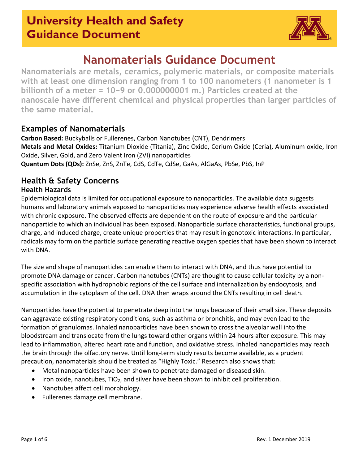

## **Nanomaterials Guidance Document**

**Nanomaterials are metals, ceramics, polymeric materials, or composite materials with at least one dimension ranging from 1 to 100 nanometers (1 nanometer is 1 billionth of a meter = 10−9 or 0.000000001 m.) Particles created at the nanoscale have different chemical and physical properties than larger particles of the same material.**

## **Examples of Nanomaterials**

**Carbon Based:** Buckyballs or Fullerenes, Carbon Nanotubes (CNT), Dendrimers **Metals and Metal Oxides:** Titanium Dioxide (Titania), Zinc Oxide, Cerium Oxide (Ceria), Aluminum oxide, Iron Oxide, Silver, Gold, and Zero Valent Iron (ZVI) nanoparticles **Quantum Dots (QDs):** ZnSe, ZnS, ZnTe, CdS, CdTe, CdSe, GaAs, AlGaAs, PbSe, PbS, InP

### **Health & Safety Concerns Health Hazards**

Epidemiological data is limited for occupational exposure to nanoparticles. The available data suggests humans and laboratory animals exposed to nanoparticles may experience adverse health effects associated with chronic exposure. The observed effects are dependent on the route of exposure and the particular nanoparticle to which an individual has been exposed. Nanoparticle surface characteristics, functional groups, charge, and induced charge, create unique properties that may result in genotoxic interactions. In particular, radicals may form on the particle surface generating reactive oxygen species that have been shown to interact with DNA.

The size and shape of nanoparticles can enable them to interact with DNA, and thus have potential to promote DNA damage or cancer. Carbon nanotubes (CNTs) are thought to cause cellular toxicity by a nonspecific association with hydrophobic regions of the cell surface and internalization by endocytosis, and accumulation in the cytoplasm of the cell. DNA then wraps around the CNTs resulting in cell death.

Nanoparticles have the potential to penetrate deep into the lungs because of their small size. These deposits can aggravate existing respiratory conditions, such as asthma or bronchitis, and may even lead to the formation of granulomas. Inhaled nanoparticles have been shown to cross the alveolar wall into the bloodstream and translocate from the lungs toward other organs within 24 hours after exposure. This may lead to inflammation, altered heart rate and function, and oxidative stress. Inhaled nanoparticles may reach the brain through the olfactory nerve. Until long-term study results become available, as a prudent precaution, nanomaterials should be treated as "Highly Toxic." Research also shows that:

- Metal nanoparticles have been shown to penetrate damaged or diseased skin.
- Iron oxide, nanotubes, TiO<sub>2</sub>, and silver have been shown to inhibit cell proliferation.
- Nanotubes affect cell morphology.
- Fullerenes damage cell membrane.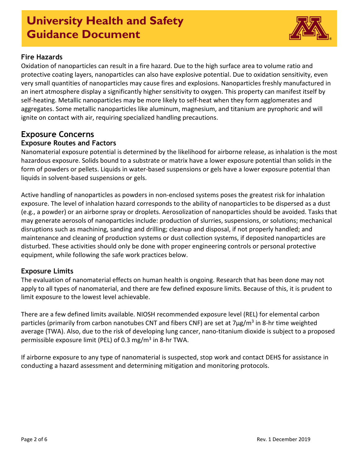

### **Fire Hazards**

Oxidation of nanoparticles can result in a fire hazard. Due to the high surface area to volume ratio and protective coating layers, nanoparticles can also have explosive potential. Due to oxidation sensitivity, even very small quantities of nanoparticles may cause fires and explosions. Nanoparticles freshly manufactured in an inert atmosphere display a significantly higher sensitivity to oxygen. This property can manifest itself by self-heating. Metallic nanoparticles may be more likely to self-heat when they form agglomerates and aggregates. Some metallic nanoparticles like aluminum, magnesium, and titanium are pyrophoric and will ignite on contact with air, requiring specialized handling precautions.

### **Exposure Concerns Exposure Routes and Factors**

Nanomaterial exposure potential is determined by the likelihood for airborne release, as inhalation is the most hazardous exposure. Solids bound to a substrate or matrix have a lower exposure potential than solids in the form of powders or pellets. Liquids in water-based suspensions or gels have a lower exposure potential than liquids in solvent-based suspensions or gels.

Active handling of nanoparticles as powders in non-enclosed systems poses the greatest risk for inhalation exposure. The level of inhalation hazard corresponds to the ability of nanoparticles to be dispersed as a dust (e.g., a powder) or an airborne spray or droplets. Aerosolization of nanoparticles should be avoided. Tasks that may generate aerosols of nanoparticles include: production of slurries, suspensions, or solutions; mechanical disruptions such as machining, sanding and drilling; cleanup and disposal, if not properly handled; and maintenance and cleaning of production systems or dust collection systems, if deposited nanoparticles are disturbed. These activities should only be done with proper engineering controls or personal protective equipment, while following the safe work practices below.

### **Exposure Limits**

The evaluation of nanomaterial effects on human health is ongoing. Research that has been done may not apply to all types of nanomaterial, and there are few defined exposure limits. Because of this, it is prudent to limit exposure to the lowest level achievable.

There are a few defined limits available. NIOSH recommended exposure level (REL) for elemental carbon particles (primarily from carbon nanotubes CNT and fibers CNF) are set at  $7\mu$ g/m<sup>3</sup> in 8-hr time weighted average (TWA). Also, due to the risk of developing lung cancer, nano-titanium dioxide is subject to a proposed permissible exposure limit (PEL) of 0.3 mg/m<sup>3</sup> in 8-hr TWA.

If airborne exposure to any type of nanomaterial is suspected, stop work and contact DEHS for assistance in conducting a hazard assessment and determining mitigation and monitoring protocols.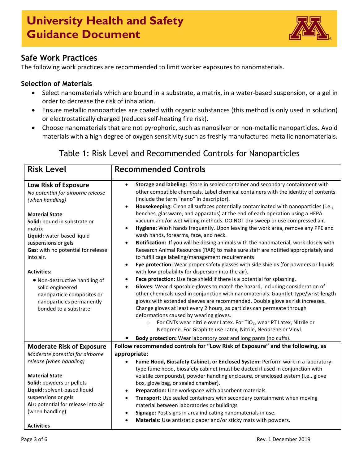

## **Safe Work Practices**

The following work practices are recommended to limit worker exposures to nanomaterials.

### **Selection of Materials**

- Select nanomaterials which are bound in a substrate, a matrix, in a water-based suspension, or a gel in order to decrease the risk of inhalation.
- Ensure metallic nanoparticles are coated with organic substances (this method is only used in solution) or electrostatically charged (reduces self-heating fire risk).
- Choose nanomaterials that are not pyrophoric, such as nanosilver or non-metallic nanoparticles. Avoid materials with a high degree of oxygen sensitivity such as freshly manufactured metallic nanomaterials.

## Table 1: Risk Level and Recommended Controls for Nanoparticles

| <b>Risk Level</b>                                                                                                                                                                                                                                                                                                                                                                                                      | <b>Recommended Controls</b>                                                                                                                                                                                                                                                                                                                                                                                                                                                                                                                                                                                                                                                                                                                                                                                                                                                                                                                                                                                                                                                                                                                                                                                                                                                                                                                                                                                                                                                                                                                                                                                                                                                                           |
|------------------------------------------------------------------------------------------------------------------------------------------------------------------------------------------------------------------------------------------------------------------------------------------------------------------------------------------------------------------------------------------------------------------------|-------------------------------------------------------------------------------------------------------------------------------------------------------------------------------------------------------------------------------------------------------------------------------------------------------------------------------------------------------------------------------------------------------------------------------------------------------------------------------------------------------------------------------------------------------------------------------------------------------------------------------------------------------------------------------------------------------------------------------------------------------------------------------------------------------------------------------------------------------------------------------------------------------------------------------------------------------------------------------------------------------------------------------------------------------------------------------------------------------------------------------------------------------------------------------------------------------------------------------------------------------------------------------------------------------------------------------------------------------------------------------------------------------------------------------------------------------------------------------------------------------------------------------------------------------------------------------------------------------------------------------------------------------------------------------------------------------|
| Low Risk of Exposure<br>No potential for airborne release<br>(when handling)<br><b>Material State</b><br>Solid: bound in substrate or<br>matrix<br>Liquid: water-based liquid<br>suspensions or gels<br>Gas: with no potential for release<br>into air.<br><b>Activities:</b><br>• Non-destructive handling of<br>solid engineered<br>nanoparticle composites or<br>nanoparticles permanently<br>bonded to a substrate | Storage and labeling: Store in sealed container and secondary containment with<br>$\bullet$<br>other compatible chemicals. Label chemical containers with the identity of contents<br>(include the term "nano" in descriptor).<br>Housekeeping: Clean all surfaces potentially contaminated with nanoparticles (i.e.,<br>$\bullet$<br>benches, glassware, and apparatus) at the end of each operation using a HEPA<br>vacuum and/or wet wiping methods. DO NOT dry sweep or use compressed air.<br>Hygiene: Wash hands frequently. Upon leaving the work area, remove any PPE and<br>$\bullet$<br>wash hands, forearms, face, and neck.<br>Notification: If you will be dosing animals with the nanomaterial, work closely with<br>$\bullet$<br>Research Animal Resources (RAR) to make sure staff are notified appropriately and<br>to fulfill cage labeling/management requirements<br>Eye protection: Wear proper safety glasses with side shields (for powders or liquids<br>$\bullet$<br>with low probability for dispersion into the air).<br>Face protection: Use face shield if there is a potential for splashing.<br>$\bullet$<br>Gloves: Wear disposable gloves to match the hazard, including consideration of<br>$\bullet$<br>other chemicals used in conjunction with nanomaterials. Gauntlet-type/wrist-length<br>gloves with extended sleeves are recommended. Double glove as risk increases.<br>Change gloves at least every 2 hours, as particles can permeate through<br>deformations caused by wearing gloves.<br>For CNTs wear nitrile over Latex. For TiO <sub>2</sub> , wear PT Latex, Nitrile or<br>$\circ$<br>Neoprene. For Graphite use Latex, Nitrile, Neoprene or Vinyl. |
| <b>Moderate Risk of Exposure</b>                                                                                                                                                                                                                                                                                                                                                                                       | Body protection: Wear laboratory coat and long pants (no cuffs).<br>Follow recommended controls for "Low Risk of Exposure" and the following, as                                                                                                                                                                                                                                                                                                                                                                                                                                                                                                                                                                                                                                                                                                                                                                                                                                                                                                                                                                                                                                                                                                                                                                                                                                                                                                                                                                                                                                                                                                                                                      |
| Moderate potential for airborne<br>release (when handling)                                                                                                                                                                                                                                                                                                                                                             | appropriate:<br>Fume Hood, Biosafety Cabinet, or Enclosed System: Perform work in a laboratory-<br>type fume hood, biosafety cabinet (must be ducted if used in conjunction with                                                                                                                                                                                                                                                                                                                                                                                                                                                                                                                                                                                                                                                                                                                                                                                                                                                                                                                                                                                                                                                                                                                                                                                                                                                                                                                                                                                                                                                                                                                      |
| <b>Material State</b><br>Solid: powders or pellets<br>Liquid: solvent-based liquid<br>suspensions or gels<br>Air: potential for release into air<br>(when handling)                                                                                                                                                                                                                                                    | volatile compounds), powder handling enclosure, or enclosed system (i.e., glove<br>box, glove bag, or sealed chamber).<br>Preparation: Line workspace with absorbent materials.<br>Transport: Use sealed containers with secondary containment when moving<br>$\bullet$<br>material between laboratories or buildings<br>Signage: Post signs in area indicating nanomaterials in use.<br>٠                                                                                                                                                                                                                                                                                                                                                                                                                                                                                                                                                                                                                                                                                                                                                                                                                                                                                                                                                                                                                                                                                                                                                                                                                                                                                                            |
| <b>Activities</b>                                                                                                                                                                                                                                                                                                                                                                                                      | Materials: Use antistatic paper and/or sticky mats with powders.<br>$\bullet$                                                                                                                                                                                                                                                                                                                                                                                                                                                                                                                                                                                                                                                                                                                                                                                                                                                                                                                                                                                                                                                                                                                                                                                                                                                                                                                                                                                                                                                                                                                                                                                                                         |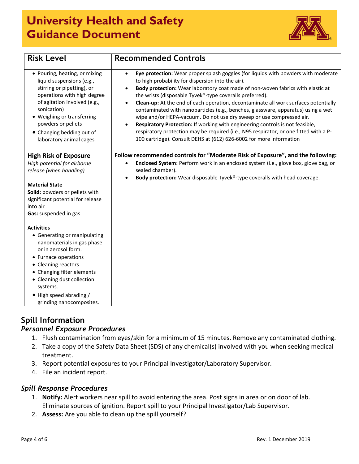

| <b>Risk Level</b>                                                                                                                                                                                                                                                                    | <b>Recommended Controls</b>                                                                                                                                                                                                                                                                                                                                                                                                                                                                                                                                                                                                                                                                                                                                                                                           |
|--------------------------------------------------------------------------------------------------------------------------------------------------------------------------------------------------------------------------------------------------------------------------------------|-----------------------------------------------------------------------------------------------------------------------------------------------------------------------------------------------------------------------------------------------------------------------------------------------------------------------------------------------------------------------------------------------------------------------------------------------------------------------------------------------------------------------------------------------------------------------------------------------------------------------------------------------------------------------------------------------------------------------------------------------------------------------------------------------------------------------|
| • Pouring, heating, or mixing<br>liquid suspensions (e.g.,<br>stirring or pipetting), or<br>operations with high degree<br>of agitation involved (e.g.,<br>sonication)<br>• Weighing or transferring<br>powders or pellets<br>• Changing bedding out of<br>laboratory animal cages   | Eye protection: Wear proper splash goggles (for liquids with powders with moderate<br>$\bullet$<br>to high probability for dispersion into the air).<br>Body protection: Wear laboratory coat made of non-woven fabrics with elastic at<br>$\bullet$<br>the wrists (disposable Tyvek®-type coveralls preferred).<br>Clean-up: At the end of each operation, decontaminate all work surfaces potentially<br>contaminated with nanoparticles (e.g., benches, glassware, apparatus) using a wet<br>wipe and/or HEPA-vacuum. Do not use dry sweep or use compressed air.<br>Respiratory Protection: If working with engineering controls is not feasible,<br>respiratory protection may be required (i.e., N95 respirator, or one fitted with a P-<br>100 cartridge). Consult DEHS at (612) 626-6002 for more information |
| <b>High Risk of Exposure</b><br>High potential for airborne<br>release (when handling)<br><b>Material State</b><br>Solid: powders or pellets with<br>significant potential for release                                                                                               | Follow recommended controls for "Moderate Risk of Exposure", and the following:<br>Enclosed System: Perform work in an enclosed system (i.e., glove box, glove bag, or<br>$\bullet$<br>sealed chamber).<br>Body protection: Wear disposable Tyvek®-type coveralls with head coverage.                                                                                                                                                                                                                                                                                                                                                                                                                                                                                                                                 |
| into air<br>Gas: suspended in gas                                                                                                                                                                                                                                                    |                                                                                                                                                                                                                                                                                                                                                                                                                                                                                                                                                                                                                                                                                                                                                                                                                       |
| <b>Activities</b><br>• Generating or manipulating<br>nanomaterials in gas phase<br>or in aerosol form.<br>• Furnace operations<br>• Cleaning reactors<br>• Changing filter elements<br>• Cleaning dust collection<br>systems.<br>• High speed abrading /<br>grinding nanocomposites. |                                                                                                                                                                                                                                                                                                                                                                                                                                                                                                                                                                                                                                                                                                                                                                                                                       |

## **Spill Information**

### *Personnel Exposure Procedures*

- 1. Flush contamination from eyes/skin for a minimum of 15 minutes. Remove any contaminated clothing.
- 2. Take a copy of the Safety Data Sheet (SDS) of any chemical(s) involved with you when seeking medical treatment.
- 3. Report potential exposures to your Principal Investigator/Laboratory Supervisor.
- 4. File an incident report.

### *Spill Response Procedures*

- 1. **Notify:** Alert workers near spill to avoid entering the area. Post signs in area or on door of lab. Eliminate sources of ignition. Report spill to your Principal Investigator/Lab Supervisor.
- 2. **Assess:** Are you able to clean up the spill yourself?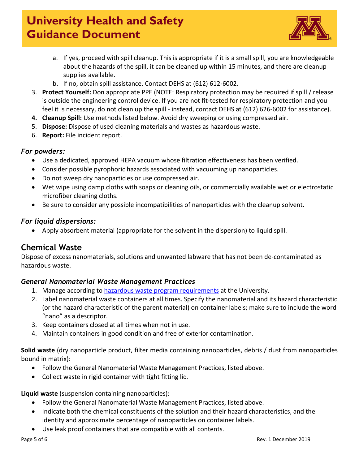

- a. If yes, proceed with spill cleanup. This is appropriate if it is a small spill, you are knowledgeable about the hazards of the spill, it can be cleaned up within 15 minutes, and there are cleanup supplies available.
- b. If no, obtain spill assistance. Contact DEHS at (612) 612-6002.
- 3. **Protect Yourself:** Don appropriate PPE (NOTE: Respiratory protection may be required if spill / release is outside the engineering control device. If you are not fit-tested for respiratory protection and you feel it is necessary, do not clean up the spill - instead, contact DEHS at (612) 626-6002 for assistance).
- **4. Cleanup Spill:** Use methods listed below. Avoid dry sweeping or using compressed air.
- 5. **Dispose:** Dispose of used cleaning materials and wastes as hazardous waste.
- 6. **Report:** File incident report.

### *For powders:*

- Use a dedicated, approved HEPA vacuum whose filtration effectiveness has been verified.
- Consider possible pyrophoric hazards associated with vacuuming up nanoparticles.
- Do not sweep dry nanoparticles or use compressed air.
- Wet wipe using damp cloths with soaps or cleaning oils, or commercially available wet or electrostatic microfiber cleaning cloths.
- Be sure to consider any possible incompatibilities of nanoparticles with the cleanup solvent.

### *For liquid dispersions:*

• Apply absorbent material (appropriate for the solvent in the dispersion) to liquid spill.

## **Chemical Waste**

Dispose of excess nanomaterials, solutions and unwanted labware that has not been de-contaminated as hazardous waste.

### *General Nanomaterial Waste Management Practices*

- 1. Manage according to [hazardous waste program requirements](http://www.dehs.umn.edu/PDFs/CWG2017.pdf) at the University.
- 2. Label nanomaterial waste containers at all times. Specify the nanomaterial and its hazard characteristic (or the hazard characteristic of the parent material) on container labels; make sure to include the word "nano" as a descriptor.
- 3. Keep containers closed at all times when not in use.
- 4. Maintain containers in good condition and free of exterior contamination.

**Solid waste** (dry nanoparticle product, filter media containing nanoparticles, debris / dust from nanoparticles bound in matrix):

- Follow the General Nanomaterial Waste Management Practices, listed above.
- Collect waste in rigid container with tight fitting lid.

**Liquid waste** (suspension containing nanoparticles):

- Follow the General Nanomaterial Waste Management Practices, listed above.
- Indicate both the chemical constituents of the solution and their hazard characteristics, and the identity and approximate percentage of nanoparticles on container labels.
- Use leak proof containers that are compatible with all contents.